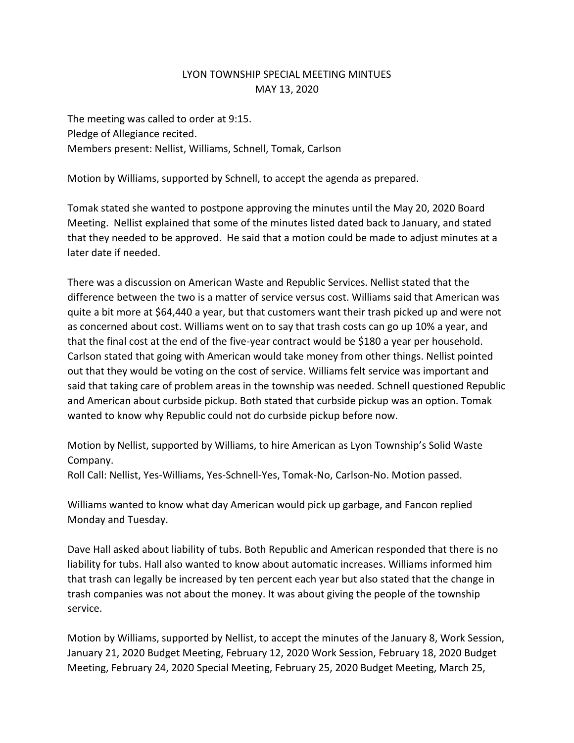## LYON TOWNSHIP SPECIAL MEETING MINTUES MAY 13, 2020

The meeting was called to order at 9:15. Pledge of Allegiance recited. Members present: Nellist, Williams, Schnell, Tomak, Carlson

Motion by Williams, supported by Schnell, to accept the agenda as prepared.

Tomak stated she wanted to postpone approving the minutes until the May 20, 2020 Board Meeting. Nellist explained that some of the minutes listed dated back to January, and stated that they needed to be approved. He said that a motion could be made to adjust minutes at a later date if needed.

There was a discussion on American Waste and Republic Services. Nellist stated that the difference between the two is a matter of service versus cost. Williams said that American was quite a bit more at \$64,440 a year, but that customers want their trash picked up and were not as concerned about cost. Williams went on to say that trash costs can go up 10% a year, and that the final cost at the end of the five-year contract would be \$180 a year per household. Carlson stated that going with American would take money from other things. Nellist pointed out that they would be voting on the cost of service. Williams felt service was important and said that taking care of problem areas in the township was needed. Schnell questioned Republic and American about curbside pickup. Both stated that curbside pickup was an option. Tomak wanted to know why Republic could not do curbside pickup before now.

Motion by Nellist, supported by Williams, to hire American as Lyon Township's Solid Waste Company.

Roll Call: Nellist, Yes-Williams, Yes-Schnell-Yes, Tomak-No, Carlson-No. Motion passed.

Williams wanted to know what day American would pick up garbage, and Fancon replied Monday and Tuesday.

Dave Hall asked about liability of tubs. Both Republic and American responded that there is no liability for tubs. Hall also wanted to know about automatic increases. Williams informed him that trash can legally be increased by ten percent each year but also stated that the change in trash companies was not about the money. It was about giving the people of the township service.

Motion by Williams, supported by Nellist, to accept the minutes of the January 8, Work Session, January 21, 2020 Budget Meeting, February 12, 2020 Work Session, February 18, 2020 Budget Meeting, February 24, 2020 Special Meeting, February 25, 2020 Budget Meeting, March 25,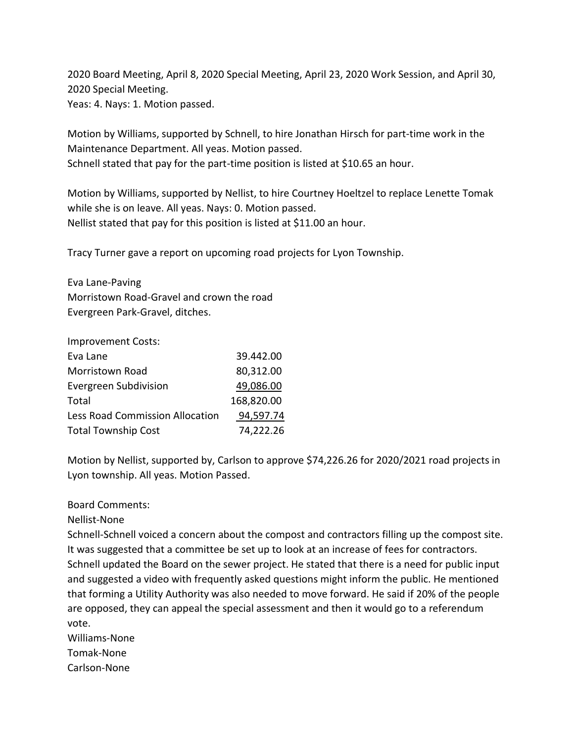2020 Board Meeting, April 8, 2020 Special Meeting, April 23, 2020 Work Session, and April 30, 2020 Special Meeting. Yeas: 4. Nays: 1. Motion passed.

Motion by Williams, supported by Schnell, to hire Jonathan Hirsch for part-time work in the Maintenance Department. All yeas. Motion passed. Schnell stated that pay for the part-time position is listed at \$10.65 an hour.

Motion by Williams, supported by Nellist, to hire Courtney Hoeltzel to replace Lenette Tomak while she is on leave. All yeas. Nays: 0. Motion passed. Nellist stated that pay for this position is listed at \$11.00 an hour.

Tracy Turner gave a report on upcoming road projects for Lyon Township.

Eva Lane-Paving Morristown Road-Gravel and crown the road Evergreen Park-Gravel, ditches.

Improvement Costs:

| Eva Lane                               | 39.442.00  |
|----------------------------------------|------------|
| Morristown Road                        | 80,312.00  |
| Evergreen Subdivision                  | 49,086.00  |
| Total                                  | 168,820.00 |
| <b>Less Road Commission Allocation</b> | 94,597.74  |
| <b>Total Township Cost</b>             | 74,222.26  |

Motion by Nellist, supported by, Carlson to approve \$74,226.26 for 2020/2021 road projects in Lyon township. All yeas. Motion Passed.

## Board Comments:

Nellist-None

Schnell-Schnell voiced a concern about the compost and contractors filling up the compost site. It was suggested that a committee be set up to look at an increase of fees for contractors. Schnell updated the Board on the sewer project. He stated that there is a need for public input and suggested a video with frequently asked questions might inform the public. He mentioned that forming a Utility Authority was also needed to move forward. He said if 20% of the people are opposed, they can appeal the special assessment and then it would go to a referendum vote.

Williams-None Tomak-None Carlson-None